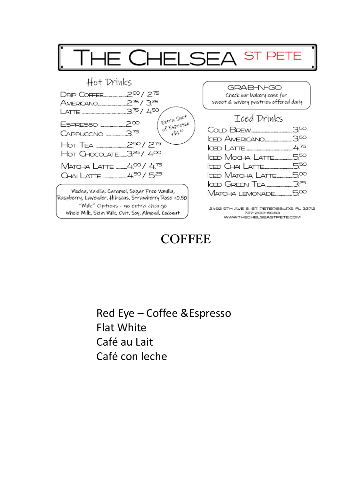

## **COFFEE**

Red Eye – Coffee &Espresso Flat White Café au Lait Café con leche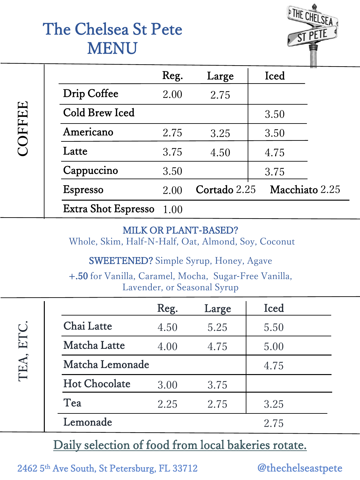# The Chelsea St Pete MENU



|       |                            | Reg. | Large        | <br>Iced       |
|-------|----------------------------|------|--------------|----------------|
| OFFEE | Drip Coffee                | 2.00 | 2.75         |                |
|       | Cold Brew Iced             |      |              | 3.50           |
|       | Americano                  | 2.75 | 3.25         | 3.50           |
|       | Latte                      | 3.75 | 4.50         | 4.75           |
|       | Cappuccino                 | 3.50 |              | 3.75           |
|       | <b>Espresso</b>            | 2.00 | Cortado 2.25 | Macchiato 2.25 |
|       | <b>Extra Shot Espresso</b> | 1.00 |              |                |

#### MILK OR PLANT-BASED?

Whole, Skim, Half-N-Half, Oat, Almond, Soy, Coconut

SWEETENED? Simple Syrup, Honey, Agave

+.50 for Vanilla, Caramel, Mocha, Sugar-Free Vanilla, Lavender, or Seasonal Syrup

|              |                      | Reg. | Large | Iced |  |
|--------------|----------------------|------|-------|------|--|
| ETC.<br>TEA. | Chai Latte           | 4.50 | 5.25  | 5.50 |  |
|              | Matcha Latte         | 4.00 | 4.75  | 5.00 |  |
|              | Matcha Lemonade      |      |       | 4.75 |  |
|              | <b>Hot Chocolate</b> | 3.00 | 3.75  |      |  |
|              | Tea                  | 2.25 | 2.75  | 3.25 |  |
|              | Lemonade             |      |       | 2.75 |  |

### Daily selection of food from local bakeries rotate.

2462 5th Ave South, St Petersburg, FL 33712 @thechelseastpete